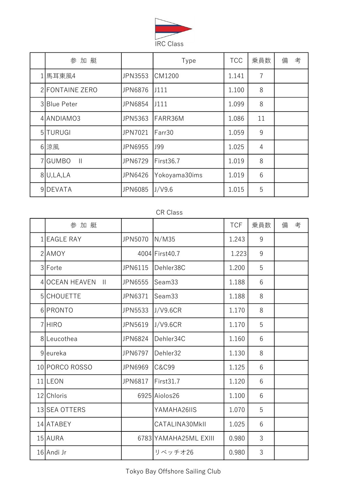

| 参加艇                     |                | Type          | <b>TCC</b> | 乗員数            | 備 | 考 |
|-------------------------|----------------|---------------|------------|----------------|---|---|
| 1 馬耳東風4                 | <b>JPN3553</b> | CM1200        | 1.141      | $\overline{7}$ |   |   |
| 2 FONTAINE ZERO         | <b>JPN6876</b> | J111          | 1.100      | 8              |   |   |
| 3 Blue Peter            | <b>JPN6854</b> | J111          | 1.099      | 8              |   |   |
| 4ANDIAM03               | <b>JPN5363</b> | FARR36M       | 1.086      | 11             |   |   |
| 5 TURUGI                | <b>JPN7021</b> | Farr30        | 1.059      | 9              |   |   |
| 6 涼風                    | JPN6955        | <b>J99</b>    | 1.025      | 4              |   |   |
| 7GUMBO<br>$\mathbf{  }$ | <b>JPN6729</b> | First36.7     | 1.019      | 8              |   |   |
| $8$ U, LA, LA           | <b>JPN6426</b> | Yokoyama30ims | 1.019      | 6              |   |   |
| 9DEVATA                 | <b>JPN6085</b> | J/V9.6        | 1.015      | 5              |   |   |

## CR Class

| 参加艇                            |                |                       | <b>TCF</b> | 乗員数 | 考<br>備 |
|--------------------------------|----------------|-----------------------|------------|-----|--------|
| 1 EAGLE RAY                    | JPN5070        | N/M35                 | 1.243      | 9   |        |
| $2$ AMOY                       |                | 4004 First 40.7       | 1.223      | 9   |        |
| 3 Forte                        | JPN6115        | Dehler38C             | 1.200      | 5   |        |
| 4 OCEAN HEAVEN<br>$\mathbf{H}$ | <b>JPN6555</b> | Seam33                | 1.188      | 6   |        |
| 5CHOUETTE                      | JPN6371        | Seam33                | 1.188      | 8   |        |
| 6PRONTO                        | <b>JPN5533</b> | J/V9.6CR              | 1.170      | 8   |        |
| 7 HIRO                         | JPN5619        | J/V9.6CR              | 1.170      | 5   |        |
| 8Leucothea                     | <b>JPN6824</b> | Dehler34C             | 1.160      | 6   |        |
| 9 <sub>leureka</sub>           | <b>JPN6797</b> | Dehler32              | 1.130      | 8   |        |
| 10 PORCO ROSSO                 | <b>JPN6969</b> | <b>C&amp;C99</b>      | 1.125      | 6   |        |
| 11 LEON                        | <b>JPN6817</b> | First31.7             | 1.120      | 6   |        |
| 12 Chloris                     |                | 6925 Aiolos 26        | 1.100      | 6   |        |
| 13 SEA OTTERS                  |                | YAMAHA26IIS           | 1.070      | 5   |        |
| 14 ATABEY                      |                | CATALINA30MkII        | 1.025      | 6   |        |
| 15 AURA                        |                | 6783 YAMAHA25ML EXIII | 0.980      | 3   |        |
| 16 Andi Jr                     |                | リベッチオ26               | 0.980      | 3   |        |